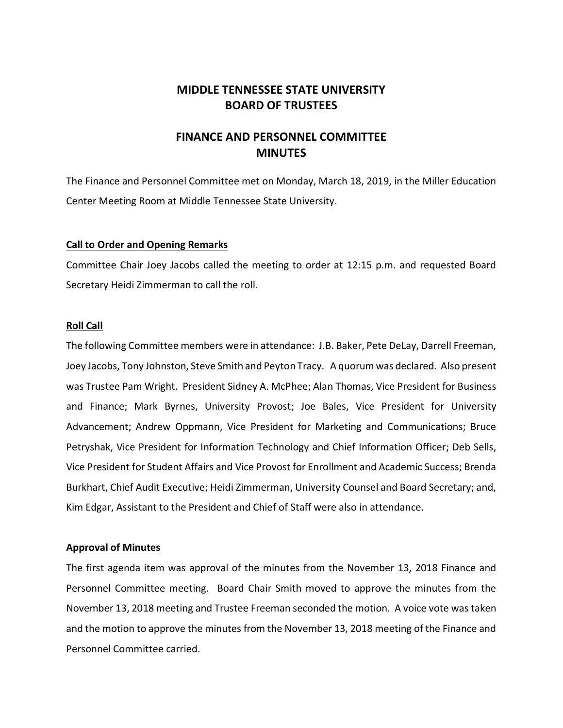# **MIDDLE TENNESSEE STATE UNIVERSITY BOARD OF TRUSTEES**

# **FINANCE AND PERSONNEL COMMITTEE MINUTES**

The Finance and Personnel Committee met on Monday, March 18, 2019, in the Miller Education Center Meeting Room at Middle Tennessee State University.

# **Call to Order and Opening Remarks**

Committee Chair Joey Jacobs called the meeting to order at 12:15 p.m. and requested Board Secretary Heidi Zimmerman to call the roll.

## **Roll Call**

The following Committee members were in attendance: J.B. Baker, Pete DeLay, Darrell Freeman, Joey Jacobs, Tony Johnston, Steve Smith and Peyton Tracy. A quorum was declared. Also present was Trustee Pam Wright. President Sidney A. McPhee; Alan Thomas, Vice President for Business and Finance; Mark Byrnes, University Provost; Joe Bales, Vice President for University Advancement; Andrew Oppmann, Vice President for Marketing and Communications; Bruce Petryshak, Vice President for Information Technology and Chief Information Officer; Deb Sells, Vice President for Student Affairs and Vice Provost for Enrollment and Academic Success; Brenda Burkhart, Chief Audit Executive; Heidi Zimmerman, University Counsel and Board Secretary; and, Kim Edgar, Assistant to the President and Chief of Staff were also in attendance.

# **Approval of Minutes**

The first agenda item was approval of the minutes from the November 13, 2018 Finance and Personnel Committee meeting. Board Chair Smith moved to approve the minutes from the November 13, 2018 meeting and Trustee Freeman seconded the motion. A voice vote was taken and the motion to approve the minutes from the November 13, 2018 meeting of the Finance and Personnel Committee carried.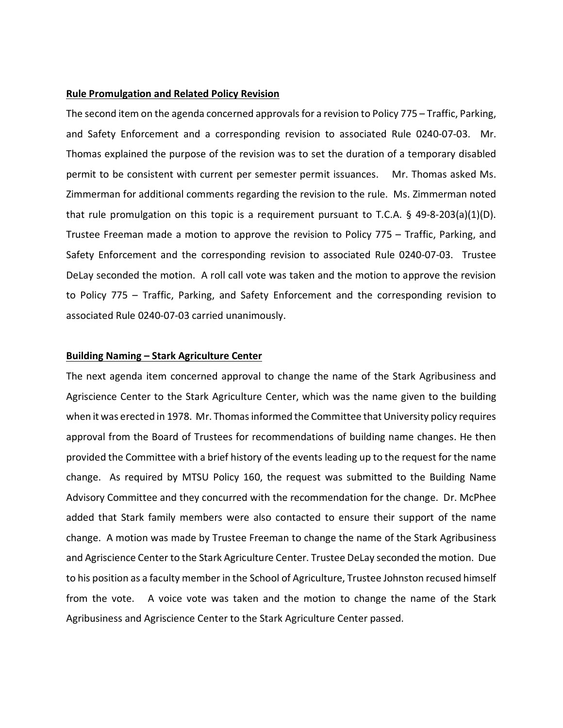## **Rule Promulgation and Related Policy Revision**

The second item on the agenda concerned approvals for a revision to Policy 775 – Traffic, Parking, and Safety Enforcement and a corresponding revision to associated Rule 0240-07-03. Mr. Thomas explained the purpose of the revision was to set the duration of a temporary disabled permit to be consistent with current per semester permit issuances. Mr. Thomas asked Ms. Zimmerman for additional comments regarding the revision to the rule. Ms. Zimmerman noted that rule promulgation on this topic is a requirement pursuant to T.C.A.  $\S$  49-8-203(a)(1)(D). Trustee Freeman made a motion to approve the revision to Policy 775 – Traffic, Parking, and Safety Enforcement and the corresponding revision to associated Rule 0240-07-03. Trustee DeLay seconded the motion. A roll call vote was taken and the motion to approve the revision to Policy 775 – Traffic, Parking, and Safety Enforcement and the corresponding revision to associated Rule 0240-07-03 carried unanimously.

#### **Building Naming – Stark Agriculture Center**

The next agenda item concerned approval to change the name of the Stark Agribusiness and Agriscience Center to the Stark Agriculture Center, which was the name given to the building when it was erected in 1978. Mr. Thomas informed the Committee that University policy requires approval from the Board of Trustees for recommendations of building name changes. He then provided the Committee with a brief history of the events leading up to the request for the name change. As required by MTSU Policy 160, the request was submitted to the Building Name Advisory Committee and they concurred with the recommendation for the change. Dr. McPhee added that Stark family members were also contacted to ensure their support of the name change. A motion was made by Trustee Freeman to change the name of the Stark Agribusiness and Agriscience Center to the Stark Agriculture Center. Trustee DeLay seconded the motion. Due to his position as a faculty member in the School of Agriculture, Trustee Johnston recused himself from the vote. A voice vote was taken and the motion to change the name of the Stark Agribusiness and Agriscience Center to the Stark Agriculture Center passed.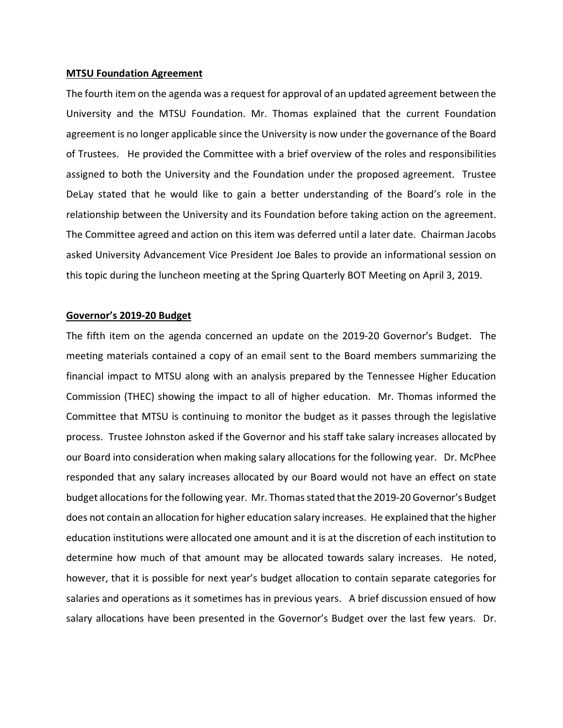### **MTSU Foundation Agreement**

The fourth item on the agenda was a request for approval of an updated agreement between the University and the MTSU Foundation. Mr. Thomas explained that the current Foundation agreement is no longer applicable since the University is now under the governance of the Board of Trustees. He provided the Committee with a brief overview of the roles and responsibilities assigned to both the University and the Foundation under the proposed agreement. Trustee DeLay stated that he would like to gain a better understanding of the Board's role in the relationship between the University and its Foundation before taking action on the agreement. The Committee agreed and action on this item was deferred until a later date. Chairman Jacobs asked University Advancement Vice President Joe Bales to provide an informational session on this topic during the luncheon meeting at the Spring Quarterly BOT Meeting on April 3, 2019.

## **Governor's 2019-20 Budget**

The fifth item on the agenda concerned an update on the 2019-20 Governor's Budget. The meeting materials contained a copy of an email sent to the Board members summarizing the financial impact to MTSU along with an analysis prepared by the Tennessee Higher Education Commission (THEC) showing the impact to all of higher education. Mr. Thomas informed the Committee that MTSU is continuing to monitor the budget as it passes through the legislative process. Trustee Johnston asked if the Governor and his staff take salary increases allocated by our Board into consideration when making salary allocations for the following year. Dr. McPhee responded that any salary increases allocated by our Board would not have an effect on state budget allocations for the following year. Mr. Thomas stated that the 2019-20 Governor's Budget does not contain an allocation for higher education salary increases. He explained that the higher education institutions were allocated one amount and it is at the discretion of each institution to determine how much of that amount may be allocated towards salary increases. He noted, however, that it is possible for next year's budget allocation to contain separate categories for salaries and operations as it sometimes has in previous years. A brief discussion ensued of how salary allocations have been presented in the Governor's Budget over the last few years. Dr.